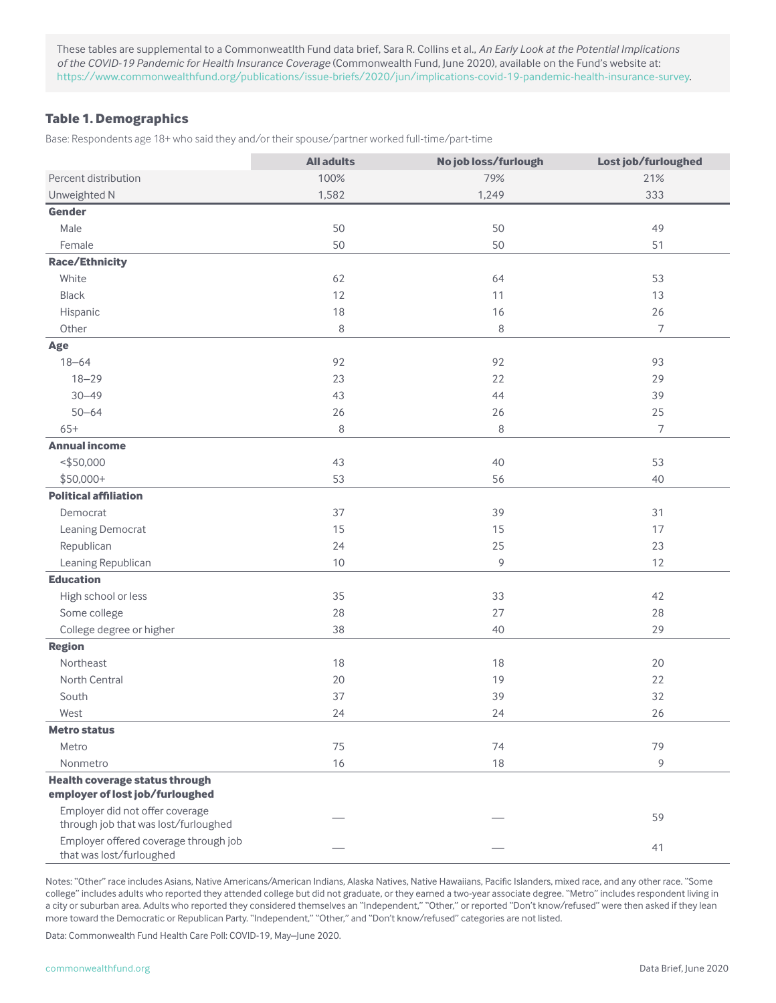These tables are supplemental to a Commonweatlth Fund data brief, Sara R. Collins et al., *An Early Look at the Potential Implications of the COVID-19 Pandemic for Health Insurance Coverage* (Commonwealth Fund, June 2020), available on the Fund's website at: <https://www.commonwealthfund.org/publications/issue-briefs/2020/jun/implications-covid-19-pandemic-health-insurance-survey>.

#### **Table 1. Demographics**

Base: Respondents age 18+ who said they and/or their spouse/partner worked full-time/part-time

|                                                                          | <b>All adults</b> | No job loss/furlough | Lost job/furloughed |
|--------------------------------------------------------------------------|-------------------|----------------------|---------------------|
| Percent distribution                                                     | 100%              | 79%                  | 21%                 |
| Unweighted N                                                             | 1,582             | 1,249                | 333                 |
| <b>Gender</b>                                                            |                   |                      |                     |
| Male                                                                     | 50                | 50                   | 49                  |
| Female                                                                   | 50                | 50                   | 51                  |
| <b>Race/Ethnicity</b>                                                    |                   |                      |                     |
| White                                                                    | 62                | 64                   | 53                  |
| <b>Black</b>                                                             | 12                | 11                   | 13                  |
| Hispanic                                                                 | 18                | 16                   | 26                  |
| Other                                                                    | $\,8\,$           | 8                    | $\overline{7}$      |
| Age                                                                      |                   |                      |                     |
| $18 - 64$                                                                | 92                | 92                   | 93                  |
| $18 - 29$                                                                | 23                | 22                   | 29                  |
| $30 - 49$                                                                | 43                | 44                   | 39                  |
| $50 - 64$                                                                | 26                | 26                   | 25                  |
| $65+$                                                                    | $\,8\,$           | $\,8\,$              | $\overline{7}$      |
| <b>Annual income</b>                                                     |                   |                      |                     |
| ~550,000                                                                 | 43                | 40                   | 53                  |
| $$50,000+$                                                               | 53                | 56                   | 40                  |
| <b>Political affiliation</b>                                             |                   |                      |                     |
| Democrat                                                                 | 37                | 39                   | 31                  |
| Leaning Democrat                                                         | 15                | 15                   | 17                  |
| Republican                                                               | 24                | 25                   | 23                  |
| Leaning Republican                                                       | $10$              | $\mathcal{G}$        | 12                  |
| <b>Education</b>                                                         |                   |                      |                     |
| High school or less                                                      | 35                | 33                   | 42                  |
| Some college                                                             | 28                | 27                   | 28                  |
| College degree or higher                                                 | 38                | 40                   | 29                  |
| <b>Region</b>                                                            |                   |                      |                     |
| Northeast                                                                | 18                | 18                   | 20                  |
| North Central                                                            | 20                | 19                   | 22                  |
| South                                                                    | 37                | 39                   | 32                  |
| West                                                                     | 24                | 24                   | 26                  |
| <b>Metro status</b>                                                      |                   |                      |                     |
| Metro                                                                    | 75                | 74                   | 79                  |
| Nonmetro                                                                 | 16                | 18                   | 9                   |
| <b>Health coverage status through</b><br>employer of lost job/furloughed |                   |                      |                     |
| Employer did not offer coverage<br>through job that was lost/furloughed  |                   |                      | 59                  |
| Employer offered coverage through job<br>that was lost/furloughed        |                   |                      | 41                  |

Notes: "Other" race includes Asians, Native Americans/American Indians, Alaska Natives, Native Hawaiians, Pacific Islanders, mixed race, and any other race. "Some college" includes adults who reported they attended college but did not graduate, or they earned a two-year associate degree. "Metro" includes respondent living in a city or suburban area. Adults who reported they considered themselves an "Independent," "Other," or reported "Don't know/refused" were then asked if they lean more toward the Democratic or Republican Party. "Independent," "Other," and "Don't know/refused" categories are not listed.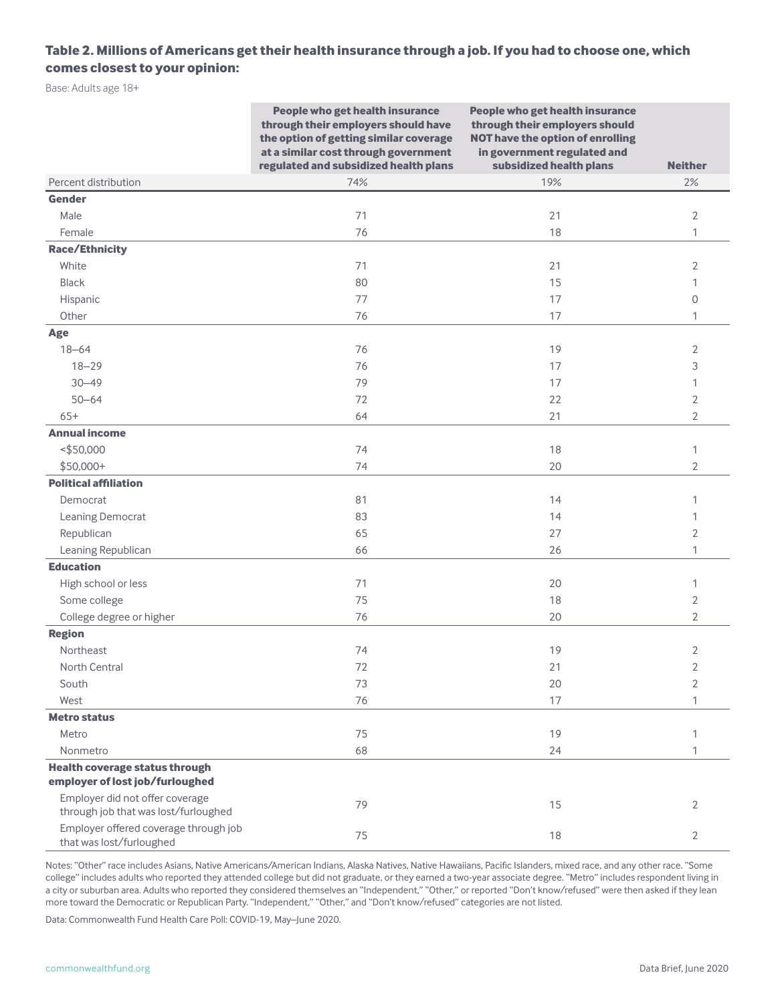### **Table 2. Millions of Americans get their health insurance through a job. If you had to choose one, which comes closest to your opinion:**

Base: Adults age 18+

|                                                                          | People who get health insurance<br>through their employers should have<br>the option of getting similar coverage<br>at a similar cost through government<br>regulated and subsidized health plans | People who get health insurance<br>through their employers should<br><b>NOT have the option of enrolling</b><br>in government regulated and<br>subsidized health plans | <b>Neither</b> |
|--------------------------------------------------------------------------|---------------------------------------------------------------------------------------------------------------------------------------------------------------------------------------------------|------------------------------------------------------------------------------------------------------------------------------------------------------------------------|----------------|
| Percent distribution                                                     | 74%                                                                                                                                                                                               | 19%                                                                                                                                                                    | 2%             |
| <b>Gender</b>                                                            |                                                                                                                                                                                                   |                                                                                                                                                                        |                |
| Male                                                                     | 71                                                                                                                                                                                                | 21                                                                                                                                                                     | $\overline{2}$ |
| Female                                                                   | 76                                                                                                                                                                                                | 18                                                                                                                                                                     | $\mathbf{1}$   |
| <b>Race/Ethnicity</b>                                                    |                                                                                                                                                                                                   |                                                                                                                                                                        |                |
| White                                                                    | 71                                                                                                                                                                                                | 21                                                                                                                                                                     | $\overline{2}$ |
| <b>Black</b>                                                             | 80                                                                                                                                                                                                | 15                                                                                                                                                                     | 1              |
| Hispanic                                                                 | 77                                                                                                                                                                                                | 17                                                                                                                                                                     | $\mathbf{0}$   |
| Other                                                                    | 76                                                                                                                                                                                                | 17                                                                                                                                                                     | 1              |
| Age                                                                      |                                                                                                                                                                                                   |                                                                                                                                                                        |                |
| $18 - 64$                                                                | 76                                                                                                                                                                                                | 19                                                                                                                                                                     | 2              |
| $18 - 29$                                                                | 76                                                                                                                                                                                                | 17                                                                                                                                                                     | 3              |
| $30 - 49$                                                                | 79                                                                                                                                                                                                | 17                                                                                                                                                                     | 1              |
| $50 - 64$                                                                | 72                                                                                                                                                                                                | 22                                                                                                                                                                     | 2              |
| $65+$                                                                    | 64                                                                                                                                                                                                | 21                                                                                                                                                                     | $\overline{2}$ |
| <b>Annual income</b>                                                     |                                                                                                                                                                                                   |                                                                                                                                                                        |                |
| ~150,000                                                                 | 74                                                                                                                                                                                                | 18                                                                                                                                                                     | 1              |
| $$50,000+$                                                               | 74                                                                                                                                                                                                | 20                                                                                                                                                                     | $\overline{2}$ |
| <b>Political affiliation</b>                                             |                                                                                                                                                                                                   |                                                                                                                                                                        |                |
| Democrat                                                                 | 81                                                                                                                                                                                                | 14                                                                                                                                                                     | 1              |
| Leaning Democrat                                                         | 83                                                                                                                                                                                                | 14                                                                                                                                                                     | 1              |
| Republican                                                               | 65                                                                                                                                                                                                | 27                                                                                                                                                                     | 2              |
| Leaning Republican                                                       | 66                                                                                                                                                                                                | 26                                                                                                                                                                     | 1              |
| <b>Education</b>                                                         |                                                                                                                                                                                                   |                                                                                                                                                                        |                |
| High school or less                                                      | 71                                                                                                                                                                                                | 20                                                                                                                                                                     | 1              |
| Some college                                                             | 75                                                                                                                                                                                                | 18                                                                                                                                                                     | 2              |
| College degree or higher                                                 | 76                                                                                                                                                                                                | 20                                                                                                                                                                     | $\overline{2}$ |
| <b>Region</b>                                                            |                                                                                                                                                                                                   |                                                                                                                                                                        |                |
| <b>Northeast</b>                                                         | 74                                                                                                                                                                                                | 19                                                                                                                                                                     | 2              |
| North Central                                                            | 72                                                                                                                                                                                                | 21                                                                                                                                                                     | $\overline{2}$ |
| South                                                                    | 73                                                                                                                                                                                                | 20                                                                                                                                                                     | $\overline{2}$ |
| West                                                                     | 76                                                                                                                                                                                                | 17                                                                                                                                                                     | 1              |
| <b>Metro status</b>                                                      |                                                                                                                                                                                                   |                                                                                                                                                                        |                |
| Metro                                                                    | 75                                                                                                                                                                                                | 19                                                                                                                                                                     | 1              |
| Nonmetro                                                                 | 68                                                                                                                                                                                                | 24                                                                                                                                                                     | $\mathbf{1}$   |
| <b>Health coverage status through</b><br>employer of lost job/furloughed |                                                                                                                                                                                                   |                                                                                                                                                                        |                |
| Employer did not offer coverage<br>through job that was lost/furloughed  | 79                                                                                                                                                                                                | 15                                                                                                                                                                     | 2              |
| Employer offered coverage through job<br>that was lost/furloughed        | 75                                                                                                                                                                                                | 18                                                                                                                                                                     | 2              |

Notes: "Other" race includes Asians, Native Americans/American Indians, Alaska Natives, Native Hawaiians, Pacific Islanders, mixed race, and any other race. "Some college" includes adults who reported they attended college but did not graduate, or they earned a two-year associate degree. "Metro" includes respondent living in a city or suburban area. Adults who reported they considered themselves an "Independent," "Other," or reported "Don't know/refused" were then asked if they lean more toward the Democratic or Republican Party. "Independent," "Other," and "Don't know/refused" categories are not listed.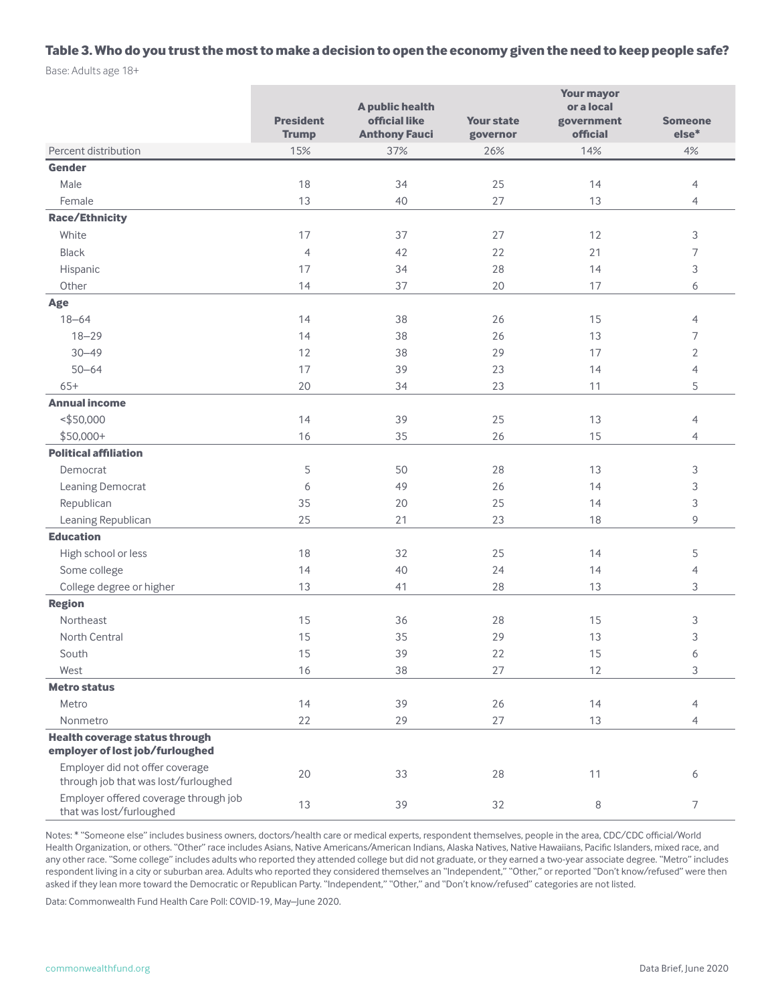#### **Table 3. Who do you trust the most to make a decision to open the economy given the need to keep people safe?**

Base: Adults age 18+

|                                                                          | <b>President</b><br><b>Trump</b> | A public health<br>official like<br><b>Anthony Fauci</b> | <b>Your state</b><br>governor | <b>Your mayor</b><br>or a local<br>government<br>official | <b>Someone</b><br>$else*$   |
|--------------------------------------------------------------------------|----------------------------------|----------------------------------------------------------|-------------------------------|-----------------------------------------------------------|-----------------------------|
| Percent distribution                                                     | 15%                              | 37%                                                      | 26%                           | 14%                                                       | 4%                          |
| Gender                                                                   |                                  |                                                          |                               |                                                           |                             |
| Male                                                                     | 18                               | 34                                                       | 25                            | 14                                                        | $\overline{4}$              |
| Female                                                                   | 13                               | 40                                                       | 27                            | 13                                                        | 4                           |
| <b>Race/Ethnicity</b>                                                    |                                  |                                                          |                               |                                                           |                             |
| White                                                                    | 17                               | 37                                                       | 27                            | 12                                                        | $\ensuremath{\mathsf{3}}$   |
| <b>Black</b>                                                             | $\overline{4}$                   | 42                                                       | 22                            | 21                                                        | $\overline{7}$              |
| Hispanic                                                                 | 17                               | 34                                                       | 28                            | 14                                                        | $\ensuremath{\mathsf{3}}$   |
| Other                                                                    | 14                               | 37                                                       | 20                            | 17                                                        | 6                           |
| Age                                                                      |                                  |                                                          |                               |                                                           |                             |
| $18 - 64$                                                                | 14                               | 38                                                       | 26                            | 15                                                        | $\overline{4}$              |
| $18 - 29$                                                                | 14                               | 38                                                       | 26                            | 13                                                        | 7                           |
| $30 - 49$                                                                | 12                               | 38                                                       | 29                            | 17                                                        | $\overline{2}$              |
| $50 - 64$                                                                | 17                               | 39                                                       | 23                            | 14                                                        | $\overline{4}$              |
| $65+$                                                                    | 20                               | 34                                                       | 23                            | 11                                                        | 5                           |
| <b>Annual income</b>                                                     |                                  |                                                          |                               |                                                           |                             |
| ~550,000                                                                 | 14                               | 39                                                       | 25                            | 13                                                        | $\overline{4}$              |
| $$50,000+$                                                               | 16                               | 35                                                       | 26                            | 15                                                        | $\overline{4}$              |
| <b>Political affiliation</b>                                             |                                  |                                                          |                               |                                                           |                             |
| Democrat                                                                 | 5                                | 50                                                       | 28                            | 13                                                        | 3                           |
| Leaning Democrat                                                         | 6                                | 49                                                       | 26                            | 14                                                        | $\ensuremath{\mathsf{3}}$   |
| Republican                                                               | 35                               | 20                                                       | 25                            | 14                                                        | $\ensuremath{\mathsf{3}}$   |
| Leaning Republican                                                       | 25                               | 21                                                       | 23                            | 18                                                        | $\mathsf 9$                 |
| <b>Education</b>                                                         |                                  |                                                          |                               |                                                           |                             |
| High school or less                                                      | 18                               | 32                                                       | 25                            | 14                                                        | 5                           |
| Some college                                                             | 14                               | 40                                                       | 24                            | 14                                                        | $\overline{4}$              |
| College degree or higher                                                 | 13                               | 41                                                       | 28                            | 13                                                        | $\ensuremath{\mathsf{3}}$   |
| <b>Region</b>                                                            |                                  |                                                          |                               |                                                           |                             |
| Northeast                                                                | 15                               | 36                                                       | 28                            | 15                                                        | 3                           |
| North Central                                                            | 15                               | 35                                                       | 29                            | 13                                                        | 3                           |
| South                                                                    | 15                               | 39                                                       | $22\,$                        | 15                                                        | 6                           |
| West                                                                     | 16                               | 38                                                       | 27                            | $12$                                                      | $\ensuremath{\mathfrak{Z}}$ |
| <b>Metro status</b>                                                      |                                  |                                                          |                               |                                                           |                             |
| Metro                                                                    | 14                               | 39                                                       | $26\,$                        | 14                                                        | $\overline{4}$              |
| Nonmetro                                                                 | 22                               | 29                                                       | 27                            | 13                                                        | $\overline{4}$              |
| <b>Health coverage status through</b><br>employer of lost job/furloughed |                                  |                                                          |                               |                                                           |                             |
| Employer did not offer coverage<br>through job that was lost/furloughed  | $20\,$                           | 33                                                       | 28                            | 11                                                        | 6                           |
| Employer offered coverage through job<br>that was lost/furloughed        | $13$                             | 39                                                       | 32                            | $\,8\,$                                                   | $\overline{7}$              |

Notes: \* "Someone else" includes business owners, doctors/health care or medical experts, respondent themselves, people in the area, CDC/CDC official/World Health Organization, or others. "Other" race includes Asians, Native Americans/American Indians, Alaska Natives, Native Hawaiians, Pacific Islanders, mixed race, and any other race. "Some college" includes adults who reported they attended college but did not graduate, or they earned a two-year associate degree. "Metro" includes respondent living in a city or suburban area. Adults who reported they considered themselves an "Independent," "Other," or reported "Don't know/refused" were then asked if they lean more toward the Democratic or Republican Party. "Independent," "Other," and "Don't know/refused" categories are not listed.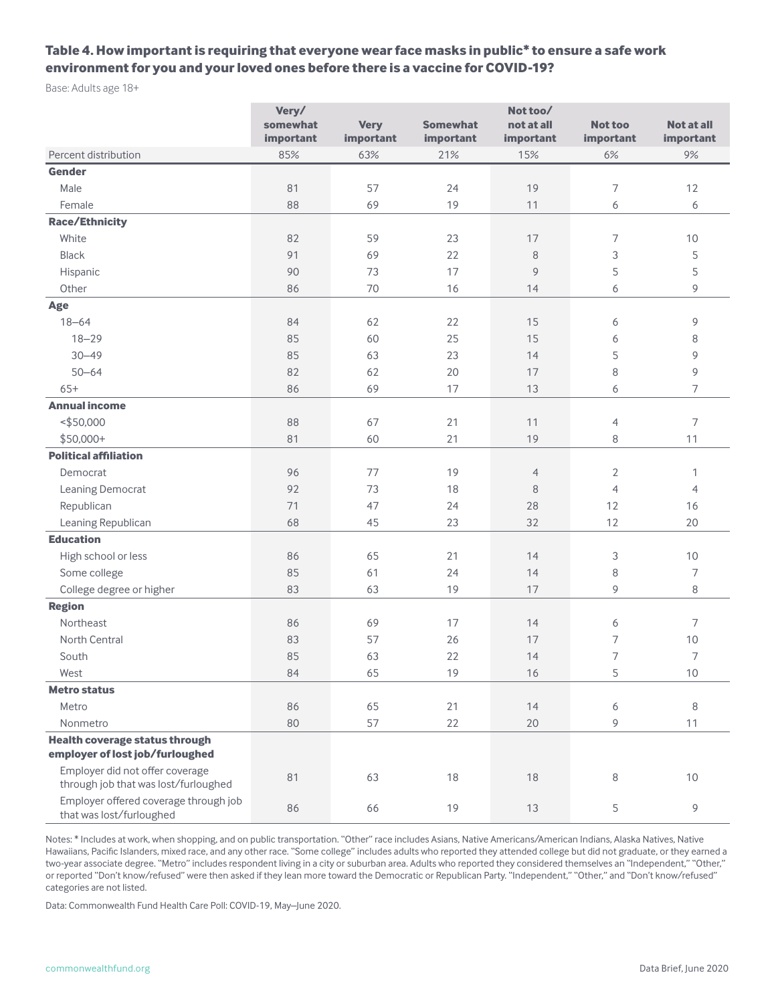## **Table 4. How important is requiring that everyone wear face masks in public\* to ensure a safe work environment for you and your loved ones before there is a vaccine for COVID-19?**

Base: Adults age 18+

|                                                                         | Very/<br>Not too/ |             |                 |                |                |                   |
|-------------------------------------------------------------------------|-------------------|-------------|-----------------|----------------|----------------|-------------------|
|                                                                         | somewhat          | <b>Very</b> | <b>Somewhat</b> | not at all     | <b>Not too</b> | <b>Not at all</b> |
|                                                                         | important         | important   | important       | important      | important      | important         |
| Percent distribution                                                    | 85%               | 63%         | 21%             | 15%            | $6%$           | 9%                |
| <b>Gender</b>                                                           |                   |             |                 |                |                |                   |
| Male                                                                    | 81                | 57          | 24              | 19             | 7              | 12                |
| Female                                                                  | 88                | 69          | 19              | 11             | 6              | 6                 |
| <b>Race/Ethnicity</b>                                                   |                   |             |                 |                |                |                   |
| White                                                                   | 82                | 59          | 23              | 17             | 7              | 10                |
| <b>Black</b>                                                            | 91                | 69          | 22              | 8              | 3              | 5                 |
| Hispanic                                                                | 90                | 73          | 17              | 9              | 5              | 5                 |
| Other                                                                   | 86                | 70          | 16              | 14             | 6              | $\mathsf 9$       |
| Age                                                                     |                   |             |                 |                |                |                   |
| $18 - 64$                                                               | 84                | 62          | 22              | 15             | 6              | 9                 |
| $18 - 29$                                                               | 85                | 60          | 25              | 15             | 6              | 8                 |
| $30 - 49$                                                               | 85                | 63          | 23              | 14             | 5              | 9                 |
| $50 - 64$                                                               | 82                | 62          | 20              | 17             | 8              | 9                 |
| $65+$                                                                   | 86                | 69          | 17              | 13             | 6              | $\overline{7}$    |
| <b>Annual income</b>                                                    |                   |             |                 |                |                |                   |
| ~150,000                                                                | 88                | 67          | 21              | 11             | $\overline{4}$ | $\overline{7}$    |
| $$50,000+$                                                              | 81                | 60          | 21              | 19             | 8              | 11                |
| <b>Political affiliation</b>                                            |                   |             |                 |                |                |                   |
| Democrat                                                                | 96                | 77          | 19              | $\overline{4}$ | 2              | $\mathbf{1}$      |
| Leaning Democrat                                                        | 92                | 73          | 18              | 8              | $\overline{4}$ | $\overline{4}$    |
| Republican                                                              | 71                | 47          | 24              | 28             | 12             | 16                |
| Leaning Republican                                                      | 68                | 45          | 23              | 32             | 12             | 20                |
| <b>Education</b>                                                        |                   |             |                 |                |                |                   |
| High school or less                                                     | 86                | 65          | 21              | 14             | 3              | 10                |
| Some college                                                            | 85                | 61          | 24              | 14             | 8              | $\overline{7}$    |
| College degree or higher                                                | 83                | 63          | 19              | 17             | 9              | 8                 |
| <b>Region</b>                                                           |                   |             |                 |                |                |                   |
| Northeast                                                               | 86                | 69          | 17              | 14             | 6              | $\overline{7}$    |
| North Central                                                           | 83                | 57          | 26              | 17             | 7              | 10                |
| South                                                                   | 85                | 63          | 22              | 14             | 7              | $\overline{7}$    |
| West                                                                    | 84                | 65          | 19              | 16             | 5              | 10                |
| <b>Metro status</b>                                                     |                   |             |                 |                |                |                   |
| Metro                                                                   | 86                | 65          | 21              | 14             | 6              | 8                 |
| Nonmetro                                                                | 80                | 57          | 22              | 20             | 9              | 11                |
| <b>Health coverage status through</b>                                   |                   |             |                 |                |                |                   |
| employer of lost job/furloughed                                         |                   |             |                 |                |                |                   |
| Employer did not offer coverage<br>through job that was lost/furloughed | 81                | 63          | 18              | 18             | 8              | $10$              |
| Employer offered coverage through job<br>that was lost/furloughed       | 86                | 66          | 19              | 13             | 5              | $\mathsf 9$       |

Notes: \* Includes at work, when shopping, and on public transportation. "Other" race includes Asians, Native Americans/American Indians, Alaska Natives, Native Hawaiians, Pacific Islanders, mixed race, and any other race. "Some college" includes adults who reported they attended college but did not graduate, or they earned a two-year associate degree. "Metro" includes respondent living in a city or suburban area. Adults who reported they considered themselves an "Independent," "Other," or reported "Don't know/refused" were then asked if they lean more toward the Democratic or Republican Party. "Independent," "Other," and "Don't know/refused" categories are not listed.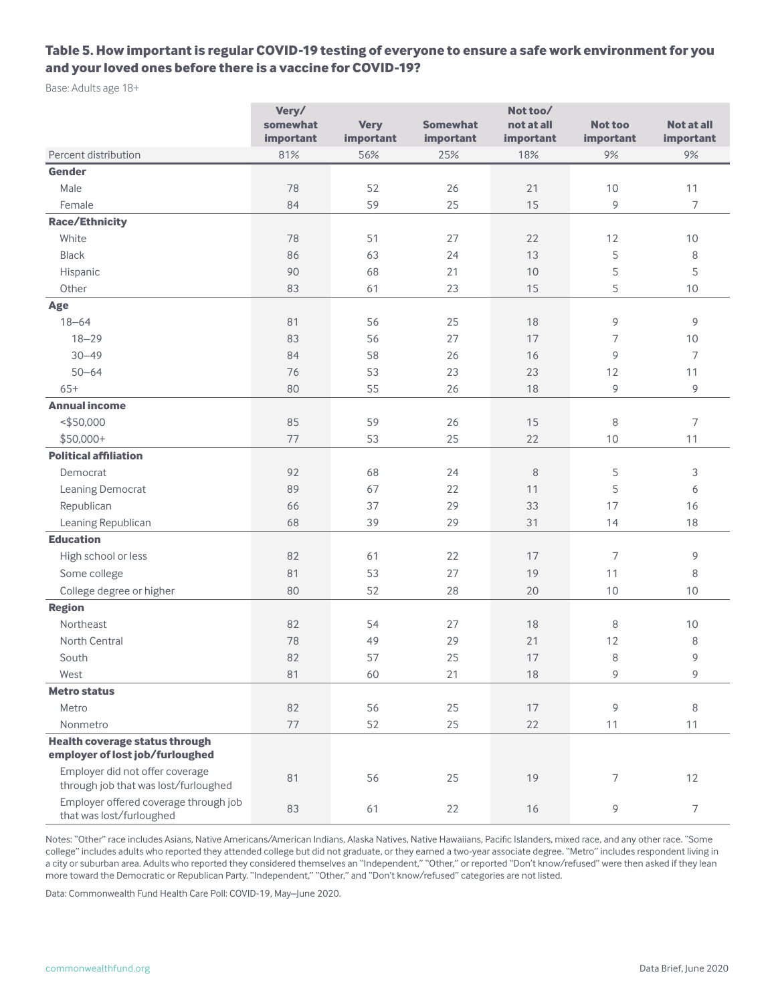### **Table 5. How important is regular COVID-19 testing of everyone to ensure a safe work environment for you and your loved ones before there is a vaccine for COVID-19?**

Base: Adults age 18+

|                                                                         | Very/<br>Not too/ |             |                 |            |                |                |
|-------------------------------------------------------------------------|-------------------|-------------|-----------------|------------|----------------|----------------|
|                                                                         | somewhat          | <b>Very</b> | <b>Somewhat</b> | not at all | <b>Not too</b> | Not at all     |
|                                                                         | important         | important   | important       | important  | important      | important      |
| Percent distribution                                                    | 81%               | 56%         | 25%             | 18%        | 9%             | 9%             |
| <b>Gender</b>                                                           |                   |             |                 |            |                |                |
| Male                                                                    | 78                | 52          | 26              | 21         | 10             | 11             |
| Female                                                                  | 84                | 59          | 25              | 15         | 9              | $\overline{7}$ |
| <b>Race/Ethnicity</b>                                                   |                   |             |                 |            |                |                |
| White                                                                   | 78                | 51          | 27              | 22         | 12             | 10             |
| <b>Black</b>                                                            | 86                | 63          | 24              | 13         | 5              | 8              |
| Hispanic                                                                | 90                | 68          | 21              | 10         | 5              | 5              |
| Other                                                                   | 83                | 61          | 23              | 15         | 5              | 10             |
| Age                                                                     |                   |             |                 |            |                |                |
| $18 - 64$                                                               | 81                | 56          | 25              | 18         | 9              | 9              |
| $18 - 29$                                                               | 83                | 56          | 27              | 17         | 7              | 10             |
| $30 - 49$                                                               | 84                | 58          | 26              | 16         | 9              | $\overline{7}$ |
| $50 - 64$                                                               | 76                | 53          | 23              | 23         | 12             | 11             |
| $65+$                                                                   | 80                | 55          | 26              | 18         | 9              | 9              |
| <b>Annual income</b>                                                    |                   |             |                 |            |                |                |
| ~150,000                                                                | 85                | 59          | 26              | 15         | 8              | $\overline{7}$ |
| $$50,000+$                                                              | 77                | 53          | 25              | 22         | $10$           | 11             |
| <b>Political affiliation</b>                                            |                   |             |                 |            |                |                |
| Democrat                                                                | 92                | 68          | 24              | 8          | 5              | 3              |
| Leaning Democrat                                                        | 89                | 67          | 22              | 11         | 5              | 6              |
| Republican                                                              | 66                | 37          | 29              | 33         | 17             | 16             |
| Leaning Republican                                                      | 68                | 39          | 29              | 31         | 14             | 18             |
| <b>Education</b>                                                        |                   |             |                 |            |                |                |
| High school or less                                                     | 82                | 61          | 22              | 17         | $\overline{7}$ | 9              |
| Some college                                                            | 81                | 53          | 27              | 19         | 11             | 8              |
| College degree or higher                                                | 80                | 52          | 28              | 20         | 10             | 10             |
| <b>Region</b>                                                           |                   |             |                 |            |                |                |
| Northeast                                                               | 82                | 54          | 27              | 18         | 8              | 10             |
| North Central                                                           | 78                | 49          | 29              | 21         | 12             | 8              |
| South                                                                   | 82                | 57          | 25              | 17         | 8              | 9              |
| West                                                                    | 81                | 60          | 21              | $18$       | 9              | 9              |
| <b>Metro status</b>                                                     |                   |             |                 |            |                |                |
| Metro                                                                   | 82                | 56          | 25              | 17         | 9              | 8              |
| Nonmetro                                                                | 77                | 52          | 25              | 22         | $11$           | 11             |
| <b>Health coverage status through</b>                                   |                   |             |                 |            |                |                |
| employer of lost job/furloughed                                         |                   |             |                 |            |                |                |
| Employer did not offer coverage<br>through job that was lost/furloughed | 81                | 56          | 25              | 19         | $\overline{7}$ | 12             |
| Employer offered coverage through job<br>that was lost/furloughed       | 83                | 61          | 22              | $16$       | 9              | $\overline{7}$ |

Notes: "Other" race includes Asians, Native Americans/American Indians, Alaska Natives, Native Hawaiians, Pacific Islanders, mixed race, and any other race. "Some college" includes adults who reported they attended college but did not graduate, or they earned a two-year associate degree. "Metro" includes respondent living in a city or suburban area. Adults who reported they considered themselves an "Independent," "Other," or reported "Don't know/refused" were then asked if they lean more toward the Democratic or Republican Party. "Independent," "Other," and "Don't know/refused" categories are not listed.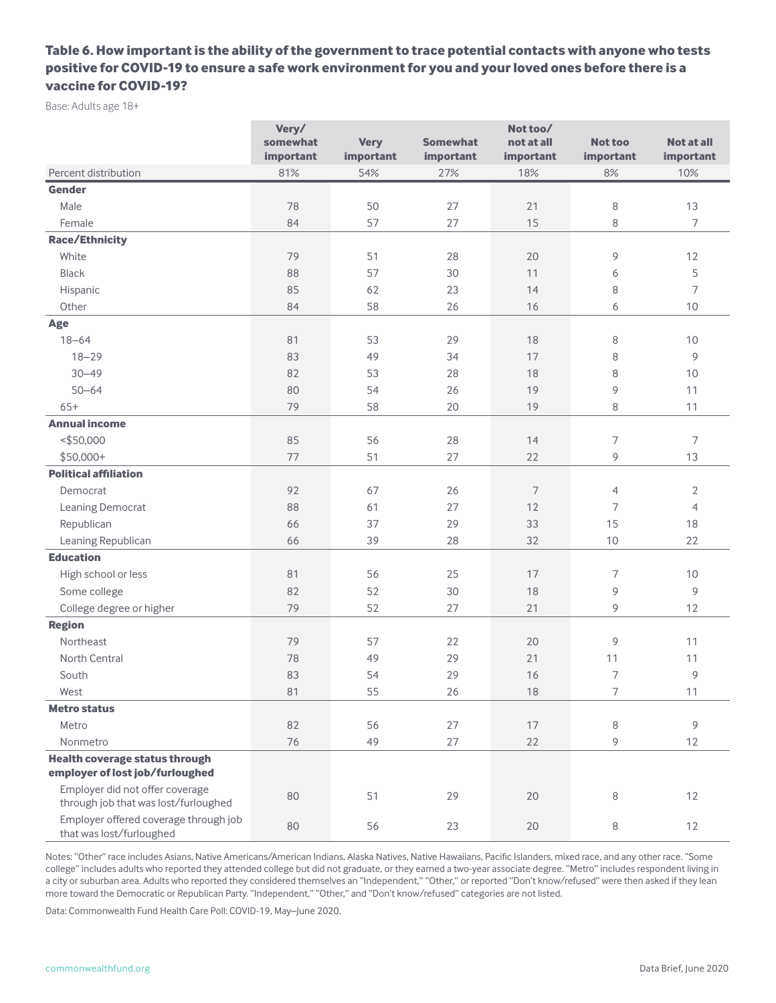# **Table 6. How important is the ability of the government to trace potential contacts with anyone who tests positive for COVID-19 to ensure a safe work environment for you and your loved ones before there is a vaccine for COVID-19?**

Base: Adults age 18+

|                                                                   | Very/     |             |                 | Not too/       |                          |                   |
|-------------------------------------------------------------------|-----------|-------------|-----------------|----------------|--------------------------|-------------------|
|                                                                   | somewhat  | <b>Very</b> | <b>Somewhat</b> | not at all     | <b>Not too</b>           | <b>Not at all</b> |
|                                                                   | important | important   | important       | important      | important                | important         |
| Percent distribution                                              | 81%       | 54%         | 27%             | 18%            | 8%                       | 10%               |
| <b>Gender</b>                                                     |           |             |                 |                |                          |                   |
| Male                                                              | 78        | 50          | 27              | 21             | $\,8\,$                  | 13                |
| Female                                                            | 84        | 57          | 27              | 15             | 8                        | $\overline{7}$    |
| <b>Race/Ethnicity</b>                                             |           |             |                 |                |                          |                   |
| White                                                             | 79        | 51          | 28              | 20             | 9                        | 12                |
| <b>Black</b>                                                      | 88        | 57          | 30              | 11             | 6                        | 5                 |
| Hispanic                                                          | 85        | 62          | 23              | 14             | 8                        | 7                 |
| Other                                                             | 84        | 58          | 26              | 16             | 6                        | 10                |
| Age                                                               |           |             |                 |                |                          |                   |
| $18 - 64$                                                         | 81        | 53          | 29              | 18             | 8                        | 10                |
| $18 - 29$                                                         | 83        | 49          | 34              | 17             | 8                        | 9                 |
| $30 - 49$                                                         | 82        | 53          | 28              | 18             | 8                        | 10                |
| $50 - 64$                                                         | 80        | 54          | 26              | 19             | 9                        | 11                |
| $65+$                                                             | 79        | 58          | 20              | 19             | 8                        | 11                |
| <b>Annual income</b>                                              |           |             |                 |                |                          |                   |
| ~150,000                                                          | 85        | 56          | 28              | 14             | $\overline{\phantom{a}}$ | 7                 |
| $$50,000+$                                                        | 77        | 51          | 27              | 22             | 9                        | 13                |
| <b>Political affiliation</b>                                      |           |             |                 |                |                          |                   |
| Democrat                                                          | 92        | 67          | 26              | $\overline{7}$ | $\overline{4}$           | $\overline{2}$    |
| Leaning Democrat                                                  | 88        | 61          | 27              | 12             | 7                        | $\overline{4}$    |
| Republican                                                        | 66        | 37          | 29              | 33             | 15                       | 18                |
| Leaning Republican                                                | 66        | 39          | 28              | 32             | 10                       | 22                |
| <b>Education</b>                                                  |           |             |                 |                |                          |                   |
| High school or less                                               | 81        | 56          | 25              | 17             | 7                        | 10                |
| Some college                                                      | 82        | 52          | 30              | 18             | 9                        | 9                 |
| College degree or higher                                          | 79        | 52          | 27              | 21             | 9                        | 12                |
| <b>Region</b>                                                     |           |             |                 |                |                          |                   |
| Northeast                                                         | 79        | 57          | 22              | 20             | 9                        | 11                |
| North Central                                                     | 78        | 49          | 29              | 21             | 11                       | 11                |
| South                                                             | 83        | 54          | 29              | 16             | $\overline{7}$           | 9                 |
| West                                                              | 81        | 55          | 26              | $18\,$         | $\overline{7}$           | 11                |
| <b>Metro status</b>                                               |           |             |                 |                |                          |                   |
| Metro                                                             | 82        | 56          | 27              | 17             | 8                        | 9                 |
| Nonmetro                                                          | 76        | 49          | 27              | 22             | 9                        | 12                |
| <b>Health coverage status through</b>                             |           |             |                 |                |                          |                   |
| employer of lost job/furloughed                                   |           |             |                 |                |                          |                   |
| Employer did not offer coverage                                   | $80\,$    | 51          | 29              | $20\,$         |                          | 12                |
| through job that was lost/furloughed                              |           |             |                 |                | 8                        |                   |
| Employer offered coverage through job<br>that was lost/furloughed | $80\,$    | 56          | 23              | $20\,$         | 8                        | 12                |

Notes: "Other" race includes Asians, Native Americans/American Indians, Alaska Natives, Native Hawaiians, Pacific Islanders, mixed race, and any other race. "Some college" includes adults who reported they attended college but did not graduate, or they earned a two-year associate degree. "Metro" includes respondent living in a city or suburban area. Adults who reported they considered themselves an "Independent," "Other," or reported "Don't know/refused" were then asked if they lean more toward the Democratic or Republican Party. "Independent," "Other," and "Don't know/refused" categories are not listed.